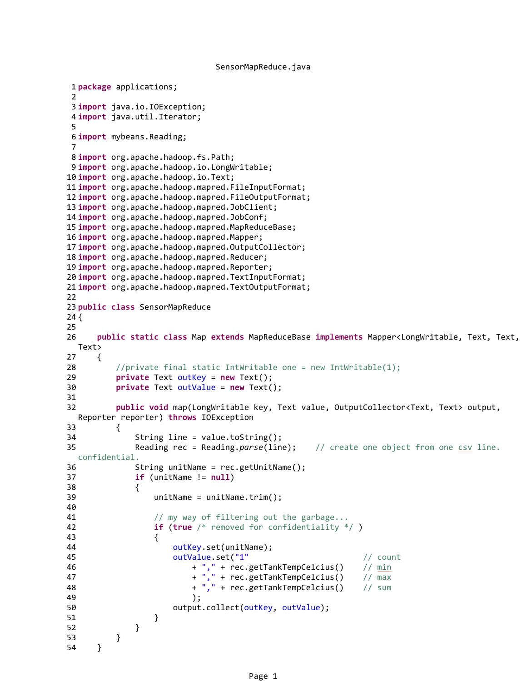```
SensorMapReduce.java
```

```
1 package applications;
2
3 import java.io.IOException;
4 import java.util.Iterator;
 5
6 import mybeans.Reading;
7
8 import org.apache.hadoop.fs.Path;
9 import org.apache.hadoop.io.LongWritable;
10 import org.apache.hadoop.io.Text;
11 import org.apache.hadoop.mapred.FileInputFormat;
12 import org.apache.hadoop.mapred.FileOutputFormat;
13 import org.apache.hadoop.mapred.JobClient;
14 import org.apache.hadoop.mapred.JobConf;
15 import org.apache.hadoop.mapred.MapReduceBase;
16 import org.apache.hadoop.mapred.Mapper;
17 import org.apache.hadoop.mapred.OutputCollector;
18 import org.apache.hadoop.mapred.Reducer;
19 import org.apache.hadoop.mapred.Reporter;
20 import org.apache.hadoop.mapred.TextInputFormat;
21 import org.apache.hadoop.mapred.TextOutputFormat;
22
23 public class SensorMapReduce 
24 {
25
26 public static class Map extends MapReduceBase implements Mapper<LongWritable, Text, Text,
 Text> 
27 {
28 //private final static IntWritable one = new IntWritable(1);
29 private Text outKey = new Text();
30 private Text outValue = new Text();
31
32 public void map(LongWritable key, Text value, OutputCollector<Text, Text> output,
 Reporter reporter) throws IOException 
33 {
34 String line = value.toString();
35 Reading rec = Reading.parse(line); // create one object from one csv line.
 confidential.
36 String unitName = rec.getUnitName();
37 if (unitName != null)
38 {
39 unitName = unitName.trim();
40
41 // my way of filtering out the garbage...
42 if (true /* removed for confidentiality */ )
43 {
44 outKey.set(unitName);
45 outValue.set("1" // count
46 + "," + rec.getTankTempCelcius() // min
47 + \frac{1}{4}, + rec.getTankTempCelcius() // \frac{1}{4}48 + "," + rec.getTankTempCelcius() // sum
49 );
50 output.collect(outKey, outValue);
51 }
52 }
53 }
54 }
```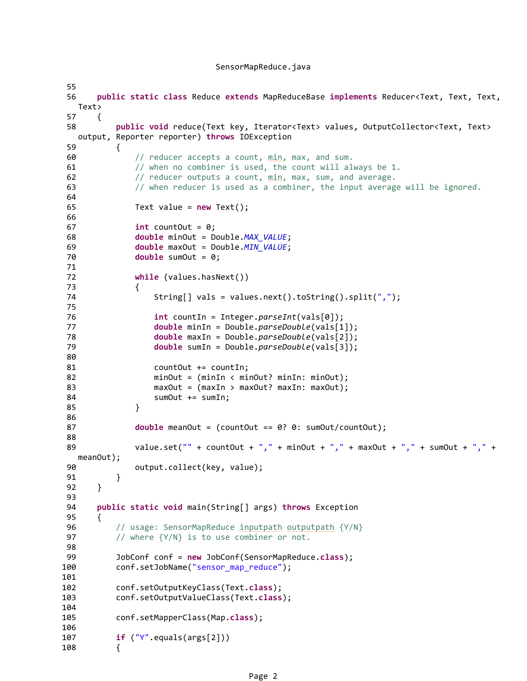## SensorMapReduce.java

```
55 
56 public static class Reduce extends MapReduceBase implements Reducer<Text, Text, Text, 
  Text> 
57 {
58 public void reduce(Text key, Iterator<Text> values, OutputCollector<Text, Text> 
  output, Reporter reporter) throws IOException 
59 {
60 // reducer accepts a count, min, max, and sum.
61 // when no combiner is used, the count will always be 1.
62 // reducer outputs a count, min, max, sum, and average.
63 // when reducer is used as a combiner, the input average will be ignored.
64
65 Text value = new Text();
66
67 int countOut = 0;
68 double minOut = Double. MAX_VALUE;
69 double maxOut = Double.MIN VALUE;
70 double sumOut = 0;
71 
72 while (values.hasNext()) 
73 {
74 String[] vals = values.next().toString().split(",");
75
76 int countIn = Integer.parseInt(vals[0]);
77 double minIn = Double.parseDouble(vals[1]);
78 double maxIn = Double.parseDouble(vals[2]);
79 double sumIn = Double.parseDouble(vals[3]);
80 
81 countOut += countIn;
82 minOut = (minIn < minOut? minIn: minOut);
83 maxOut = (maxIn > maxOut? maxIn: maxOut);
84 SumOut += sumIn;
85 }
86 
87 double meanOut = (countOut == 0? 0: sumOut/countOut);
88 
89 value.set("" + countOut + "," + minOut + "," + maxOut + "," + sumOut + "," + 
  meanOut);
90 output.collect(key, value);
91 }
92 }
93
94 public static void main(String[] args) throws Exception
95 {
96 // usage: SensorMapReduce inputpath outputpath {Y/N}
97 // where {Y/N} is to use combiner or not.
98 
99 JobConf conf = new JobConf(SensorMapReduce.class);
100 conf.setJobName("sensor_map_reduce");
101 
102 conf.setOutputKeyClass(Text.class);
103 conf.setOutputValueClass(Text.class);
104 
105 conf.setMapperClass(Map.class);
106
107 if ("Y".equals(args[2]))
108 {
```